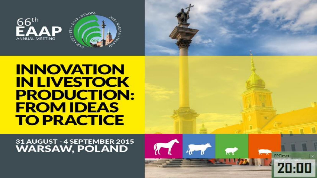



31 AUGUST - 4 SEPTEMBER 2015 **WARSAW, POLAND** 

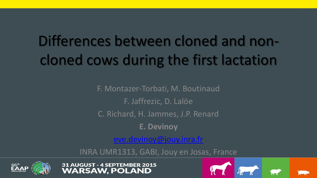# Differences between cloned and noncloned cows during the first lactation

F. Montazer-Torbati, M. Boutinaud F. Jaffrezic, D. Lalöe C. Richard, H. Jammes, J.P. Renard **E. Devinoy**

[eve.devinoy@jouy.inra.fr](mailto:eve.devinoy@jouy.inra.fr)

INRA UMR1313, GABI, Jouy en Josas, France





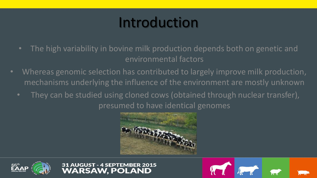## Introduction

- The high variability in bovine milk production depends both on genetic and environmental factors
- Whereas genomic selection has contributed to largely improve milk production, mechanisms underlying the influence of the environment are mostly unknown
	- They can be studied using cloned cows (obtained through nuclear transfer), presumed to have identical genomes







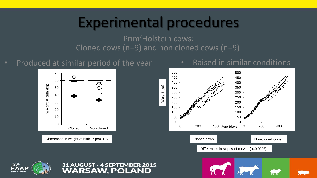#### Experimental procedures

Cloned cows (n=9) and non cloned cows (n=9) Prim'Holstein cows:

#### • Produced at similar period of the year



#### Weight (kg) Cloned cows  $\Omega$  200 400 Age (days) 0 200 400 Differences in slopes of curves (p=0.0003)

• Raised in similar conditions



#### 31 AUGUST - 4 SEPTEMBER 2015 **WARSAW. POLAND**

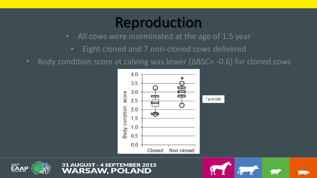#### Reproduction

- All cows were inseminated at the age of 1.5 year
	- Eight cloned and 7 non-cloned cows delivered
- Body condition score at calving was lower ( $\Delta BSC = -0.6$ ) for cloned cows







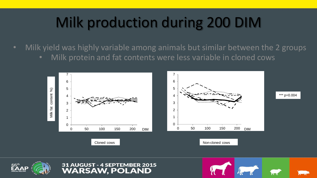## Milk production during 200 DIM

• Milk yield was highly variable among animals but similar between the 2 groups • Milk protein and fat contents were less variable in cloned cows

**AUGUST - 4 SEPTEMBER 2015** 

**WARSAW. POLAND** 



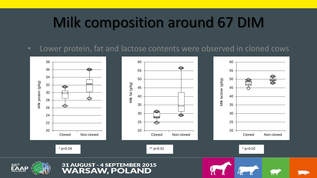### Milk composition around 67 DIM

• Lower protein, fat and lactose contents were observed in cloned cows

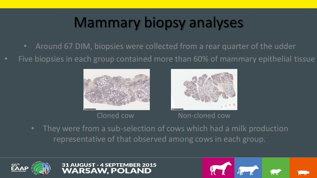## Mammary biopsy analyses

- Around 67 DIM, biopsies were collected from a rear quarter of the udder
- Five biopsies in each group contained more than 60% of mammary epithelial tissue





Cloned cow Non-cloned cow

• They were from a sub-selection of cows which had a milk production representative of that observed among cows in each group.





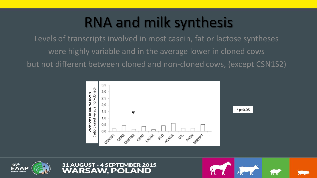#### RNA and milk synthesis

Levels of transcripts involved in most casein, fat or lactose syntheses were highly variable and in the average lower in cloned cows but not different between cloned and non-cloned cows, (except CSN1S2)







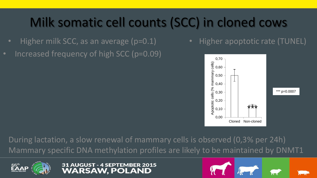#### Milk somatic cell counts (SCC) in cloned cows

- Higher milk SCC, as an average (p=0.1)
- Increased frequency of high SCC (p=0.09)

• Higher apoptotic rate (TUNEL)



During lactation, a slow renewal of mammary cells is observed (0,3% per 24h) Mammary specific DNA methylation profiles are likely to be maintained by DNMT1

> UGUST - 4 SEPTEMBER 2015 **ARSAW. POLAND**

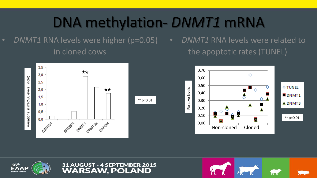#### DNA methylation- *DNMT1* mRNA

• *DNMT1* RNA levels were higher (p=0.05) in cloned cows

• *DNMT1* RNA levels were related to the apoptotic rates (TUNEL)







#### **AUGUST - 4 SEPTEMBER 2015 WARSAW. POLAND**

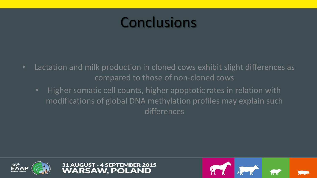#### **Conclusions**

- Lactation and milk production in cloned cows exhibit slight differences as compared to those of non-cloned cows
	- Higher somatic cell counts, higher apoptotic rates in relation with modifications of global DNA methylation profiles may explain such differences